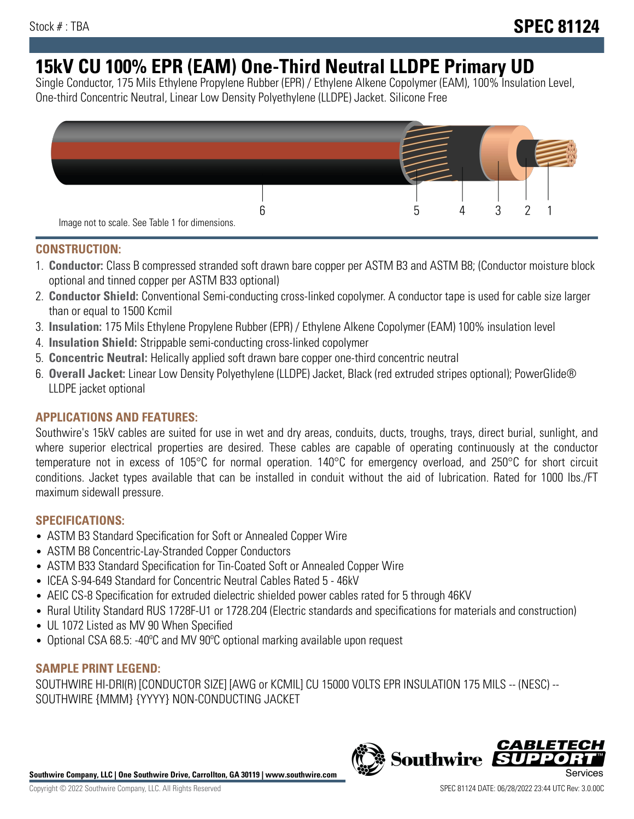# **15kV CU 100% EPR (EAM) One-Third Neutral LLDPE Primary UD**

Single Conductor, 175 Mils Ethylene Propylene Rubber (EPR) / Ethylene Alkene Copolymer (EAM), 100% Insulation Level, One-third Concentric Neutral, Linear Low Density Polyethylene (LLDPE) Jacket. Silicone Free



## **CONSTRUCTION:**

- 1. **Conductor:** Class B compressed stranded soft drawn bare copper per ASTM B3 and ASTM B8; (Conductor moisture block optional and tinned copper per ASTM B33 optional)
- 2. **Conductor Shield:** Conventional Semi-conducting cross-linked copolymer. A conductor tape is used for cable size larger than or equal to 1500 Kcmil
- 3. **Insulation:** 175 Mils Ethylene Propylene Rubber (EPR) / Ethylene Alkene Copolymer (EAM) 100% insulation level
- 4. **Insulation Shield:** Strippable semi-conducting cross-linked copolymer
- 5. **Concentric Neutral:** Helically applied soft drawn bare copper one-third concentric neutral
- 6. **Overall Jacket:** Linear Low Density Polyethylene (LLDPE) Jacket, Black (red extruded stripes optional); PowerGlide® LLDPE jacket optional

# **APPLICATIONS AND FEATURES:**

Southwire's 15kV cables are suited for use in wet and dry areas, conduits, ducts, troughs, trays, direct burial, sunlight, and where superior electrical properties are desired. These cables are capable of operating continuously at the conductor temperature not in excess of 105°C for normal operation. 140°C for emergency overload, and 250°C for short circuit conditions. Jacket types available that can be installed in conduit without the aid of lubrication. Rated for 1000 lbs./FT maximum sidewall pressure.

## **SPECIFICATIONS:**

- ASTM B3 Standard Specification for Soft or Annealed Copper Wire
- ASTM B8 Concentric-Lay-Stranded Copper Conductors
- ASTM B33 Standard Specification for Tin-Coated Soft or Annealed Copper Wire
- ICEA S-94-649 Standard for Concentric Neutral Cables Rated 5 46kV
- AEIC CS-8 Specification for extruded dielectric shielded power cables rated for 5 through 46KV
- Rural Utility Standard RUS 1728F-U1 or 1728.204 (Electric standards and specifications for materials and construction)
- UL 1072 Listed as MV 90 When Specified
- Optional CSA 68.5: -40°C and MV 90°C optional marking available upon request

# **SAMPLE PRINT LEGEND:**

SOUTHWIRE HI-DRI(R) [CONDUCTOR SIZE] [AWG or KCMIL] CU 15000 VOLTS EPR INSULATION 175 MILS -- (NESC) -- SOUTHWIRE {MMM} {YYYY} NON-CONDUCTING JACKET

**Southwire Company, LLC | One Southwire Drive, Carrollton, GA 30119 | www.southwire.com**